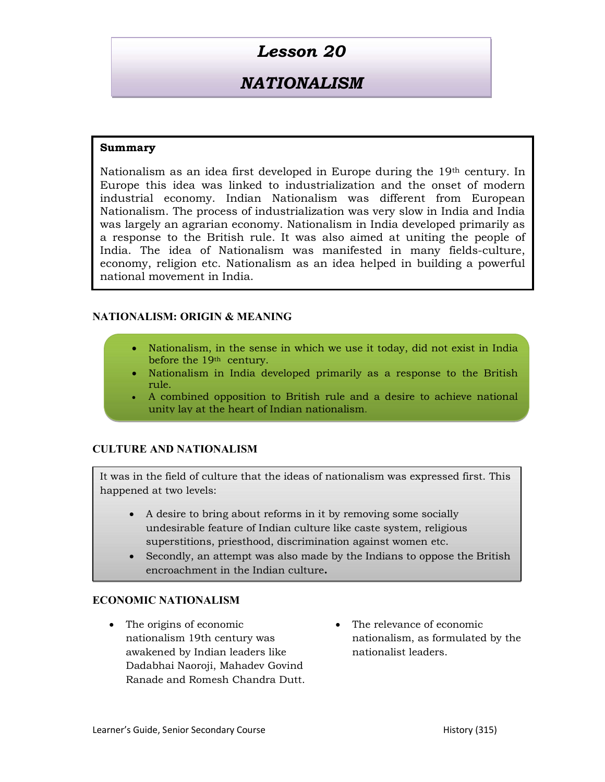# Lesson 20

# **NATIONALISM**

## Summary

Nationalism as an idea first developed in Europe during the 19th century. In Europe this idea was linked to industrialization and the onset of modern industrial economy. Indian Nationalism was different from European Nationalism. The process of industrialization was very slow in India and India was largely an agrarian economy. Nationalism in India developed primarily as a response to the British rule. It was also aimed at uniting the people of India. The idea of Nationalism was manifested in many fields-culture, economy, religion etc. Nationalism as an idea helped in building a powerful national movement in India.

### NATIONALISM: ORIGIN & MEANING

- Nationalism, in the sense in which we use it today, did not exist in India before the 19th century.
- Nationalism in India developed primarily as a response to the British rule.
- A combined opposition to British rule and a desire to achieve national unity lay at the heart of Indian nationalism.

### CULTURE AND NATIONALISM

It was in the field of culture that the ideas of nationalism was expressed first. This happened at two levels:

- A desire to bring about reforms in it by removing some socially undesirable feature of Indian culture like caste system, religious superstitions, priesthood, discrimination against women etc.
- Secondly, an attempt was also made by the Indians to oppose the British encroachment in the Indian culture.

### ECONOMIC NATIONALISM

- The origins of economic nationalism 19th century was awakened by Indian leaders like Dadabhai Naoroji, Mahadev Govind Ranade and Romesh Chandra Dutt.
- The relevance of economic nationalism, as formulated by the nationalist leaders.